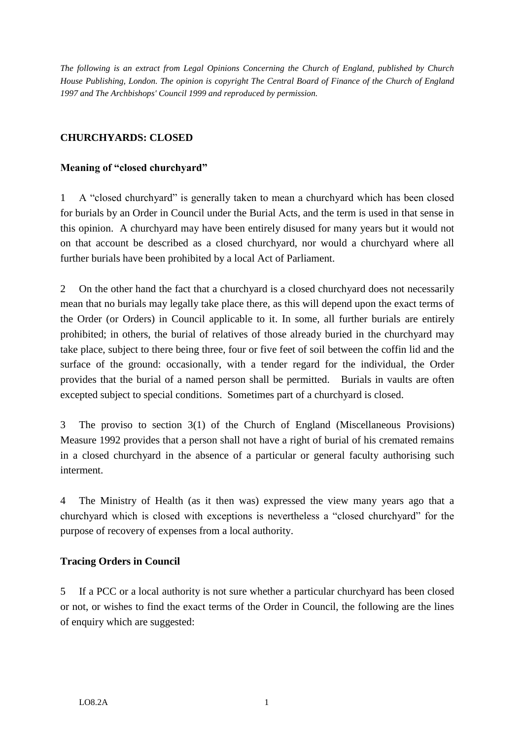*The following is an extract from Legal Opinions Concerning the Church of England, published by Church House Publishing, London. The opinion is copyright The Central Board of Finance of the Church of England 1997 and The Archbishops' Council 1999 and reproduced by permission.*

# **CHURCHYARDS: CLOSED**

## **Meaning of "closed churchyard"**

1 A "closed churchyard" is generally taken to mean a churchyard which has been closed for burials by an Order in Council under the Burial Acts, and the term is used in that sense in this opinion. A churchyard may have been entirely disused for many years but it would not on that account be described as a closed churchyard, nor would a churchyard where all further burials have been prohibited by a local Act of Parliament.

2 On the other hand the fact that a churchyard is a closed churchyard does not necessarily mean that no burials may legally take place there, as this will depend upon the exact terms of the Order (or Orders) in Council applicable to it. In some, all further burials are entirely prohibited; in others, the burial of relatives of those already buried in the churchyard may take place, subject to there being three, four or five feet of soil between the coffin lid and the surface of the ground: occasionally, with a tender regard for the individual, the Order provides that the burial of a named person shall be permitted. Burials in vaults are often excepted subject to special conditions. Sometimes part of a churchyard is closed.

3 The proviso to section 3(1) of the Church of England (Miscellaneous Provisions) Measure 1992 provides that a person shall not have a right of burial of his cremated remains in a closed churchyard in the absence of a particular or general faculty authorising such interment.

4 The Ministry of Health (as it then was) expressed the view many years ago that a churchyard which is closed with exceptions is nevertheless a "closed churchyard" for the purpose of recovery of expenses from a local authority.

#### **Tracing Orders in Council**

5 If a PCC or a local authority is not sure whether a particular churchyard has been closed or not, or wishes to find the exact terms of the Order in Council, the following are the lines of enquiry which are suggested: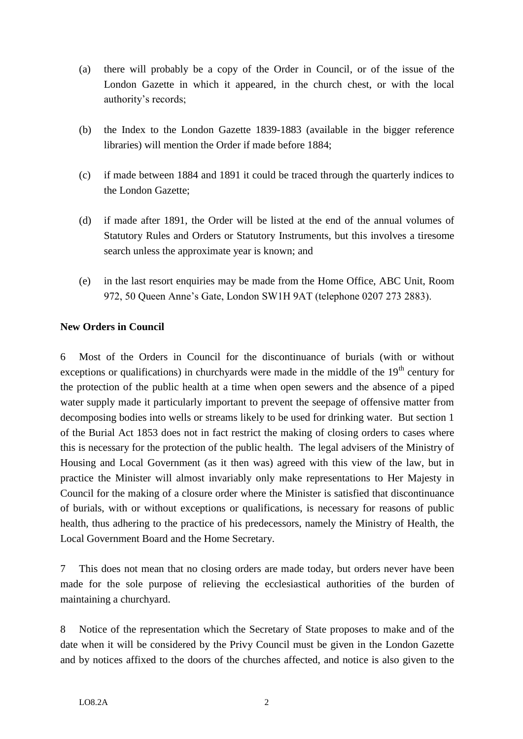- (a) there will probably be a copy of the Order in Council, or of the issue of the London Gazette in which it appeared, in the church chest, or with the local authority's records;
- (b) the Index to the London Gazette 1839-1883 (available in the bigger reference libraries) will mention the Order if made before 1884;
- (c) if made between 1884 and 1891 it could be traced through the quarterly indices to the London Gazette;
- (d) if made after 1891, the Order will be listed at the end of the annual volumes of Statutory Rules and Orders or Statutory Instruments, but this involves a tiresome search unless the approximate year is known; and
- (e) in the last resort enquiries may be made from the Home Office, ABC Unit, Room 972, 50 Queen Anne's Gate, London SW1H 9AT (telephone 0207 273 2883).

## **New Orders in Council**

6 Most of the Orders in Council for the discontinuance of burials (with or without exceptions or qualifications) in churchyards were made in the middle of the  $19<sup>th</sup>$  century for the protection of the public health at a time when open sewers and the absence of a piped water supply made it particularly important to prevent the seepage of offensive matter from decomposing bodies into wells or streams likely to be used for drinking water. But section 1 of the Burial Act 1853 does not in fact restrict the making of closing orders to cases where this is necessary for the protection of the public health. The legal advisers of the Ministry of Housing and Local Government (as it then was) agreed with this view of the law, but in practice the Minister will almost invariably only make representations to Her Majesty in Council for the making of a closure order where the Minister is satisfied that discontinuance of burials, with or without exceptions or qualifications, is necessary for reasons of public health, thus adhering to the practice of his predecessors, namely the Ministry of Health, the Local Government Board and the Home Secretary.

7 This does not mean that no closing orders are made today, but orders never have been made for the sole purpose of relieving the ecclesiastical authorities of the burden of maintaining a churchyard.

8 Notice of the representation which the Secretary of State proposes to make and of the date when it will be considered by the Privy Council must be given in the London Gazette and by notices affixed to the doors of the churches affected, and notice is also given to the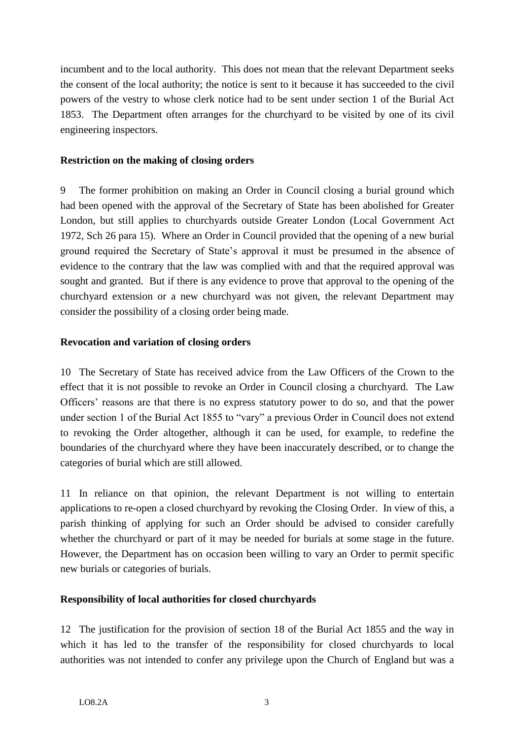incumbent and to the local authority. This does not mean that the relevant Department seeks the consent of the local authority; the notice is sent to it because it has succeeded to the civil powers of the vestry to whose clerk notice had to be sent under section 1 of the Burial Act 1853. The Department often arranges for the churchyard to be visited by one of its civil engineering inspectors.

## **Restriction on the making of closing orders**

9 The former prohibition on making an Order in Council closing a burial ground which had been opened with the approval of the Secretary of State has been abolished for Greater London, but still applies to churchyards outside Greater London (Local Government Act 1972, Sch 26 para 15). Where an Order in Council provided that the opening of a new burial ground required the Secretary of State's approval it must be presumed in the absence of evidence to the contrary that the law was complied with and that the required approval was sought and granted. But if there is any evidence to prove that approval to the opening of the churchyard extension or a new churchyard was not given, the relevant Department may consider the possibility of a closing order being made.

## **Revocation and variation of closing orders**

10 The Secretary of State has received advice from the Law Officers of the Crown to the effect that it is not possible to revoke an Order in Council closing a churchyard. The Law Officers' reasons are that there is no express statutory power to do so, and that the power under section 1 of the Burial Act 1855 to "vary" a previous Order in Council does not extend to revoking the Order altogether, although it can be used, for example, to redefine the boundaries of the churchyard where they have been inaccurately described, or to change the categories of burial which are still allowed.

11 In reliance on that opinion, the relevant Department is not willing to entertain applications to re-open a closed churchyard by revoking the Closing Order. In view of this, a parish thinking of applying for such an Order should be advised to consider carefully whether the churchyard or part of it may be needed for burials at some stage in the future. However, the Department has on occasion been willing to vary an Order to permit specific new burials or categories of burials.

# **Responsibility of local authorities for closed churchyards**

12 The justification for the provision of section 18 of the Burial Act 1855 and the way in which it has led to the transfer of the responsibility for closed churchyards to local authorities was not intended to confer any privilege upon the Church of England but was a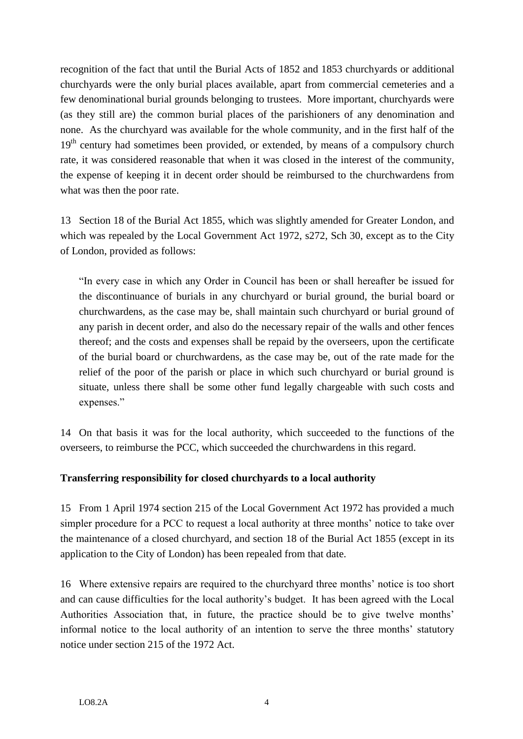recognition of the fact that until the Burial Acts of 1852 and 1853 churchyards or additional churchyards were the only burial places available, apart from commercial cemeteries and a few denominational burial grounds belonging to trustees. More important, churchyards were (as they still are) the common burial places of the parishioners of any denomination and none. As the churchyard was available for the whole community, and in the first half of the 19<sup>th</sup> century had sometimes been provided, or extended, by means of a compulsory church rate, it was considered reasonable that when it was closed in the interest of the community, the expense of keeping it in decent order should be reimbursed to the churchwardens from what was then the poor rate.

13 Section 18 of the Burial Act 1855, which was slightly amended for Greater London, and which was repealed by the Local Government Act 1972, s272, Sch 30, except as to the City of London, provided as follows:

"In every case in which any Order in Council has been or shall hereafter be issued for the discontinuance of burials in any churchyard or burial ground, the burial board or churchwardens, as the case may be, shall maintain such churchyard or burial ground of any parish in decent order, and also do the necessary repair of the walls and other fences thereof; and the costs and expenses shall be repaid by the overseers, upon the certificate of the burial board or churchwardens, as the case may be, out of the rate made for the relief of the poor of the parish or place in which such churchyard or burial ground is situate, unless there shall be some other fund legally chargeable with such costs and expenses."

14 On that basis it was for the local authority, which succeeded to the functions of the overseers, to reimburse the PCC, which succeeded the churchwardens in this regard.

# **Transferring responsibility for closed churchyards to a local authority**

15 From 1 April 1974 section 215 of the Local Government Act 1972 has provided a much simpler procedure for a PCC to request a local authority at three months' notice to take over the maintenance of a closed churchyard, and section 18 of the Burial Act 1855 (except in its application to the City of London) has been repealed from that date.

16 Where extensive repairs are required to the churchyard three months' notice is too short and can cause difficulties for the local authority's budget. It has been agreed with the Local Authorities Association that, in future, the practice should be to give twelve months' informal notice to the local authority of an intention to serve the three months' statutory notice under section 215 of the 1972 Act.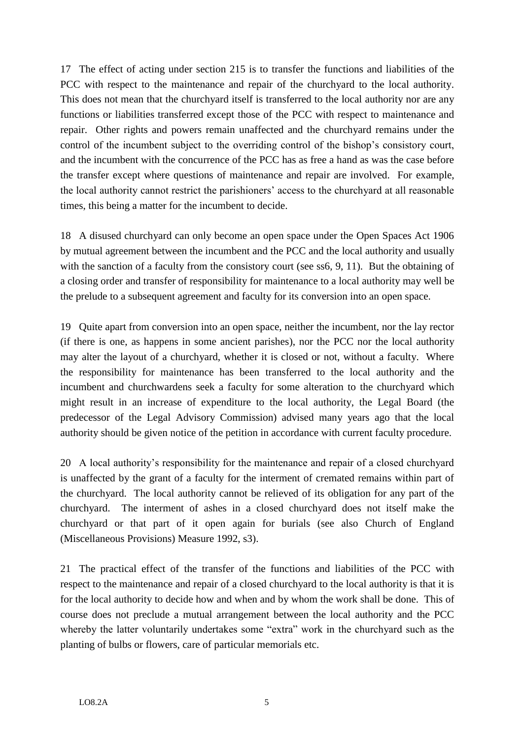17 The effect of acting under section 215 is to transfer the functions and liabilities of the PCC with respect to the maintenance and repair of the churchyard to the local authority. This does not mean that the churchyard itself is transferred to the local authority nor are any functions or liabilities transferred except those of the PCC with respect to maintenance and repair. Other rights and powers remain unaffected and the churchyard remains under the control of the incumbent subject to the overriding control of the bishop's consistory court, and the incumbent with the concurrence of the PCC has as free a hand as was the case before the transfer except where questions of maintenance and repair are involved. For example, the local authority cannot restrict the parishioners' access to the churchyard at all reasonable times, this being a matter for the incumbent to decide.

18 A disused churchyard can only become an open space under the Open Spaces Act 1906 by mutual agreement between the incumbent and the PCC and the local authority and usually with the sanction of a faculty from the consistory court (see ss6, 9, 11). But the obtaining of a closing order and transfer of responsibility for maintenance to a local authority may well be the prelude to a subsequent agreement and faculty for its conversion into an open space.

19 Quite apart from conversion into an open space, neither the incumbent, nor the lay rector (if there is one, as happens in some ancient parishes), nor the PCC nor the local authority may alter the layout of a churchyard, whether it is closed or not, without a faculty. Where the responsibility for maintenance has been transferred to the local authority and the incumbent and churchwardens seek a faculty for some alteration to the churchyard which might result in an increase of expenditure to the local authority, the Legal Board (the predecessor of the Legal Advisory Commission) advised many years ago that the local authority should be given notice of the petition in accordance with current faculty procedure.

20 A local authority's responsibility for the maintenance and repair of a closed churchyard is unaffected by the grant of a faculty for the interment of cremated remains within part of the churchyard. The local authority cannot be relieved of its obligation for any part of the churchyard. The interment of ashes in a closed churchyard does not itself make the churchyard or that part of it open again for burials (see also Church of England (Miscellaneous Provisions) Measure 1992, s3).

21 The practical effect of the transfer of the functions and liabilities of the PCC with respect to the maintenance and repair of a closed churchyard to the local authority is that it is for the local authority to decide how and when and by whom the work shall be done. This of course does not preclude a mutual arrangement between the local authority and the PCC whereby the latter voluntarily undertakes some "extra" work in the churchyard such as the planting of bulbs or flowers, care of particular memorials etc.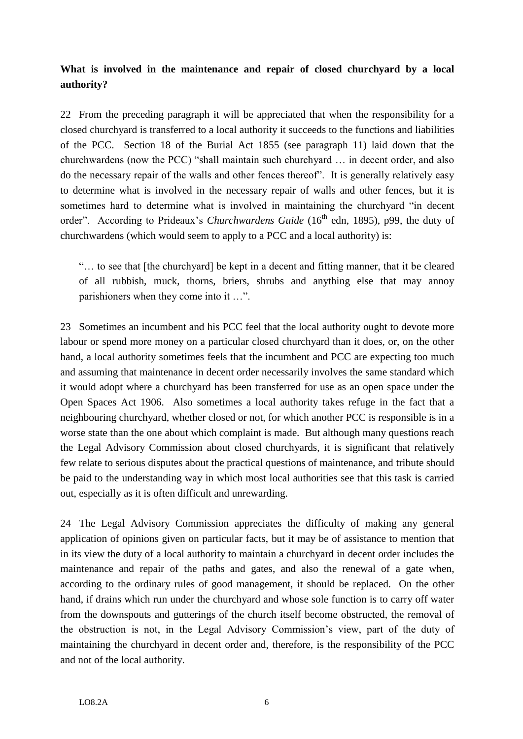# **What is involved in the maintenance and repair of closed churchyard by a local authority?**

22 From the preceding paragraph it will be appreciated that when the responsibility for a closed churchyard is transferred to a local authority it succeeds to the functions and liabilities of the PCC. Section 18 of the Burial Act 1855 (see paragraph 11) laid down that the churchwardens (now the PCC) "shall maintain such churchyard … in decent order, and also do the necessary repair of the walls and other fences thereof". It is generally relatively easy to determine what is involved in the necessary repair of walls and other fences, but it is sometimes hard to determine what is involved in maintaining the churchyard "in decent order". According to Prideaux's *Churchwardens Guide* (16<sup>th</sup> edn, 1895), p99, the duty of churchwardens (which would seem to apply to a PCC and a local authority) is:

"… to see that [the churchyard] be kept in a decent and fitting manner, that it be cleared of all rubbish, muck, thorns, briers, shrubs and anything else that may annoy parishioners when they come into it …".

23 Sometimes an incumbent and his PCC feel that the local authority ought to devote more labour or spend more money on a particular closed churchyard than it does, or, on the other hand, a local authority sometimes feels that the incumbent and PCC are expecting too much and assuming that maintenance in decent order necessarily involves the same standard which it would adopt where a churchyard has been transferred for use as an open space under the Open Spaces Act 1906. Also sometimes a local authority takes refuge in the fact that a neighbouring churchyard, whether closed or not, for which another PCC is responsible is in a worse state than the one about which complaint is made. But although many questions reach the Legal Advisory Commission about closed churchyards, it is significant that relatively few relate to serious disputes about the practical questions of maintenance, and tribute should be paid to the understanding way in which most local authorities see that this task is carried out, especially as it is often difficult and unrewarding.

24 The Legal Advisory Commission appreciates the difficulty of making any general application of opinions given on particular facts, but it may be of assistance to mention that in its view the duty of a local authority to maintain a churchyard in decent order includes the maintenance and repair of the paths and gates, and also the renewal of a gate when, according to the ordinary rules of good management, it should be replaced. On the other hand, if drains which run under the churchyard and whose sole function is to carry off water from the downspouts and gutterings of the church itself become obstructed, the removal of the obstruction is not, in the Legal Advisory Commission's view, part of the duty of maintaining the churchyard in decent order and, therefore, is the responsibility of the PCC and not of the local authority.